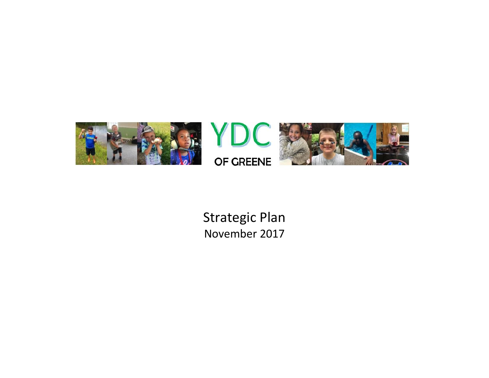

Strategic Plan November 2017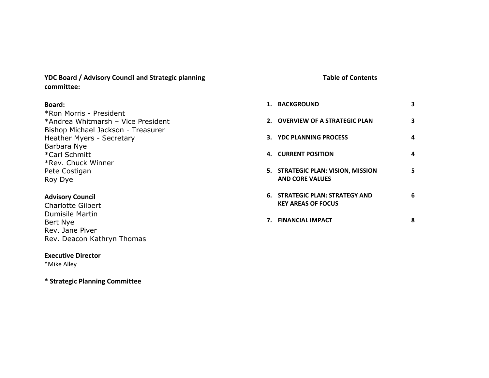**YDC Board / Advisory Council and Strategic planning committee:**

# **Board:**

\*Ron Morris - President \*Andrea Whitmarsh – Vice President Bishop Michael Jackson - Treasurer Heather Myers - Secretary Barbara Nye \*Carl Schmitt \*Rev. Chuck Winner Pete Costigan Roy Dye

# **Advisory Council**

Charlotte Gilbert Dumisile Martin Bert Nye Rev. Jane Piver Rev. Deacon Kathryn Thomas

# **Executive Director**

\*Mike Alley

**\* Strategic Planning Committee**

# **Table of Contents**

| 1. BACKGROUND                                                | з |
|--------------------------------------------------------------|---|
| 2. OVERVIEW OF A STRATEGIC PLAN                              | з |
| 3. YDC PLANNING PROCESS                                      | 4 |
| 4. CURRENT POSITION                                          | 4 |
| 5. STRATEGIC PLAN: VISION, MISSION<br><b>AND CORE VALUES</b> | 5 |
| 6. STRATEGIC PLAN: STRATEGY AND<br><b>KEY AREAS OF FOCUS</b> | 6 |
| 7. FINANCIAL IMPACT                                          | 8 |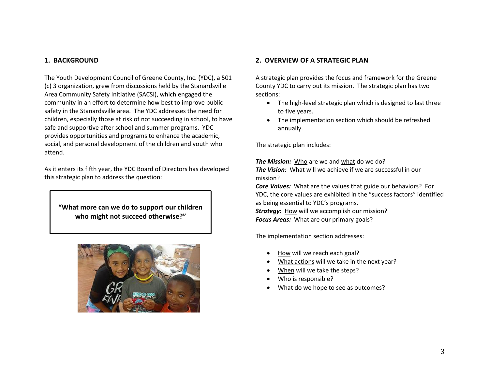## **1. BACKGROUND**

The Youth Development Council of Greene County, Inc. (YDC), a 501 (c) 3 organization, grew from discussions held by the Stanardsville Area Community Safety Initiative (SACSI), which engaged the community in an effort to determine how best to improve public safety in the Stanardsville area. The YDC addresses the need for children, especially those at risk of not succeeding in school, to have safe and supportive after school and summer programs. YDC provides opportunities and programs to enhance the academic, social, and personal development of the children and youth who attend.

As it enters its fifth year, the YDC Board of Directors has developed this strategic plan to address the question:

**"What more can we do to support our children who might not succeed otherwise?"**



## **2. OVERVIEW OF A STRATEGIC PLAN**

A strategic plan provides the focus and framework for the Greene County YDC to carry out its mission. The strategic plan has two sections:

- The high-level strategic plan which is designed to last three to five years.
- The implementation section which should be refreshed annually.

The strategic plan includes:

*The Mission:* Who are we and what do we do? *The Vision:* What will we achieve if we are successful in our mission?

*Core Values:* What are the values that guide our behaviors? For YDC, the core values are exhibited in the "success factors" identified as being essential to YDC's programs. *Strategy:* How will we accomplish our mission?

*Focus Areas:* What are our primary goals?

The implementation section addresses:

- How will we reach each goal?
- What actions will we take in the next year?
- When will we take the steps?
- Who is responsible?
- What do we hope to see as outcomes?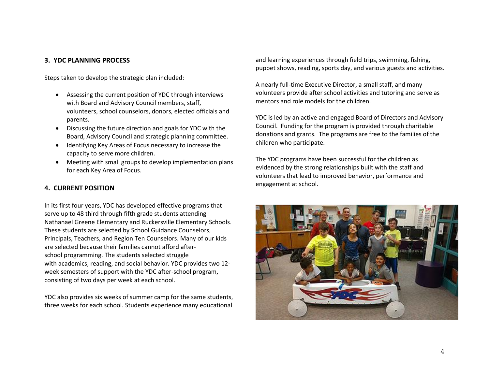# **3. YDC PLANNING PROCESS**

Steps taken to develop the strategic plan included:

- Assessing the current position of YDC through interviews with Board and Advisory Council members, staff, volunteers, school counselors, donors, elected officials and parents.
- Discussing the future direction and goals for YDC with the Board, Advisory Council and strategic planning committee.
- Identifying Key Areas of Focus necessary to increase the capacity to serve more children.
- Meeting with small groups to develop implementation plans for each Key Area of Focus.

# **4. CURRENT POSITION**

In its first four years, YDC has developed effective programs that serve up to 48 third through fifth grade students attending Nathanael Greene Elementary and Ruckersville Elementary Schools. These students are selected by School Guidance Counselors, Principals, Teachers, and Region Ten Counselors. Many of our kids are selected because their families cannot afford afterschool programming. The students selected struggle with academics, reading, and social behavior. YDC provides two 12 week semesters of support with the YDC after-school program, consisting of two days per week at each school.

YDC also provides six weeks of summer camp for the same students, three weeks for each school. Students experience many educational and learning experiences through field trips, swimming, fishing, puppet shows, reading, sports day, and various guests and activities.

A nearly full-time Executive Director, a small staff, and many volunteers provide after school activities and tutoring and serve as mentors and role models for the children.

YDC is led by an active and engaged Board of Directors and Advisory Council. Funding for the program is provided through charitable donations and grants. The programs are free to the families of the children who participate.

The YDC programs have been successful for the children as evidenced by the strong relationships built with the staff and volunteers that lead to improved behavior, performance and engagement at school.

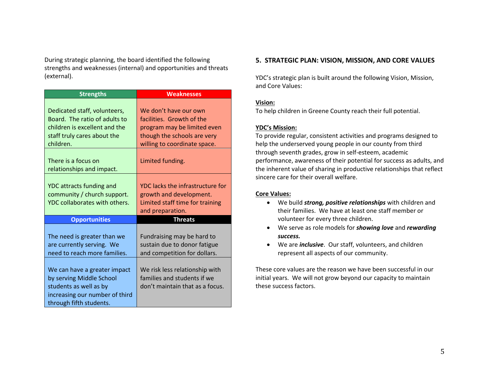During strategic planning, the board identified the following strengths and weaknesses (internal) and opportunities and threats (external).

| <b>Strengths</b>                                                                                                                                | <b>Weaknesses</b>                                                                                                                                |  |
|-------------------------------------------------------------------------------------------------------------------------------------------------|--------------------------------------------------------------------------------------------------------------------------------------------------|--|
| Dedicated staff, volunteers,<br>Board. The ratio of adults to<br>children is excellent and the<br>staff truly cares about the<br>children.      | We don't have our own<br>facilities. Growth of the<br>program may be limited even<br>though the schools are very<br>willing to coordinate space. |  |
| There is a focus on<br>relationships and impact.                                                                                                | Limited funding.                                                                                                                                 |  |
| YDC attracts funding and<br>community / church support.<br>YDC collaborates with others.                                                        | YDC lacks the infrastructure for<br>growth and development.<br>Limited staff time for training<br>and preparation.                               |  |
| <b>Opportunities</b>                                                                                                                            | <b>Threats</b>                                                                                                                                   |  |
| The need is greater than we<br>are currently serving. We<br>need to reach more families.                                                        | Fundraising may be hard to<br>sustain due to donor fatigue<br>and competition for dollars.                                                       |  |
| We can have a greater impact<br>by serving Middle School<br>students as well as by<br>increasing our number of third<br>through fifth students. | We risk less relationship with<br>families and students if we<br>don't maintain that as a focus.                                                 |  |

## **5. STRATEGIC PLAN: VISION, MISSION, AND CORE VALUES**

YDC's strategic plan is built around the following Vision, Mission, and Core Values:

## **Vision:**

To help children in Greene County reach their full potential.

## **YDC's Mission:**

To provide regular, consistent activities and programs designed to help the underserved young people in our county from third through seventh grades, grow in self-esteem, academic performance, awareness of their potential for success as adults, and the inherent value of sharing in productive relationships that reflect sincere care for their overall welfare.

### **Core Values:**

- We build *strong, positive relationships* with children and their families. We have at least one staff member or volunteer for every three children.
- We serve as role models for *showing love* and *rewarding success.*
- We are *inclusive*. Our staff, volunteers, and children represent all aspects of our community.

These core values are the reason we have been successful in our initial years. We will not grow beyond our capacity to maintain these success factors.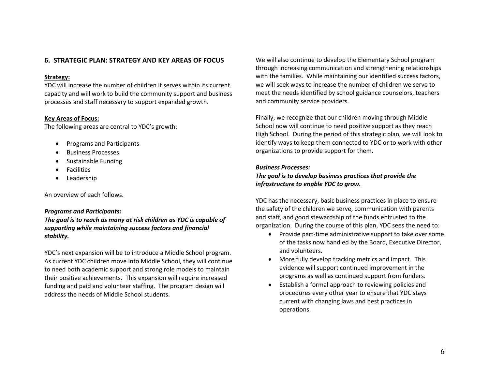# **6. STRATEGIC PLAN: STRATEGY AND KEY AREAS OF FOCUS**

#### **Strategy:**

YDC will increase the number of children it serves within its current capacity and will work to build the community support and business processes and staff necessary to support expanded growth.

#### **Key Areas of Focus:**

The following areas are central to YDC's growth:

- Programs and Participants
- Business Processes
- Sustainable Funding
- **•** Facilities
- Leadership

An overview of each follows.

#### *Programs and Participants:*

*The goal is to reach as many at risk children as YDC is capable of supporting while maintaining success factors and financial stability.*

YDC's next expansion will be to introduce a Middle School program. As current YDC children move into Middle School, they will continue to need both academic support and strong role models to maintain their positive achievements. This expansion will require increased funding and paid and volunteer staffing. The program design will address the needs of Middle School students.

We will also continue to develop the Elementary School program through increasing communication and strengthening relationships with the families. While maintaining our identified success factors, we will seek ways to increase the number of children we serve to meet the needs identified by school guidance counselors, teachers and community service providers.

Finally, we recognize that our children moving through Middle School now will continue to need positive support as they reach High School. During the period of this strategic plan, we will look to identify ways to keep them connected to YDC or to work with other organizations to provide support for them.

#### *Business Processes:*

## *The goal is to develop business practices that provide the infrastructure to enable YDC to grow.*

YDC has the necessary, basic business practices in place to ensure the safety of the children we serve, communication with parents and staff, and good stewardship of the funds entrusted to the organization. During the course of this plan, YDC sees the need to:

- Provide part-time administrative support to take over some of the tasks now handled by the Board, Executive Director, and volunteers.
- More fully develop tracking metrics and impact. This evidence will support continued improvement in the programs as well as continued support from funders.
- Establish a formal approach to reviewing policies and procedures every other year to ensure that YDC stays current with changing laws and best practices in operations.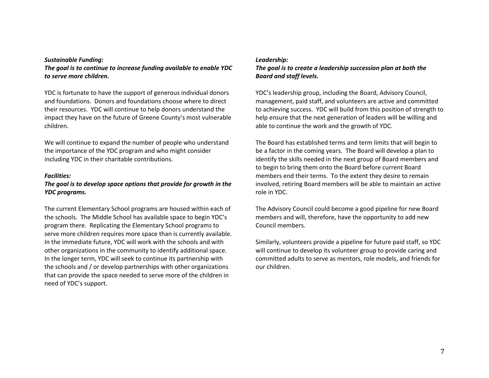#### *Sustainable Funding:*

*The goal is to continue to increase funding available to enable YDC to serve more children.*

YDC is fortunate to have the support of generous individual donors and foundations. Donors and foundations choose where to direct their resources. YDC will continue to help donors understand the impact they have on the future of Greene County's most vulnerable children.

We will continue to expand the number of people who understand the importance of the YDC program and who might consider including YDC in their charitable contributions.

#### *Facilities:*

# *The goal is to develop space options that provide for growth in the YDC programs.*

The current Elementary School programs are housed within each of the schools. The Middle School has available space to begin YDC's program there. Replicating the Elementary School programs to serve more children requires more space than is currently available. In the immediate future, YDC will work with the schools and with other organizations in the community to identify additional space. In the longer term, YDC will seek to continue its partnership with the schools and / or develop partnerships with other organizations that can provide the space needed to serve more of the children in need of YDC's support.

#### *Leadership:*

# *The goal is to create a leadership succession plan at both the Board and staff levels.*

YDC's leadership group, including the Board, Advisory Council, management, paid staff, and volunteers are active and committed to achieving success. YDC will build from this position of strength to help ensure that the next generation of leaders will be willing and able to continue the work and the growth of YDC.

The Board has established terms and term limits that will begin to be a factor in the coming years. The Board will develop a plan to identify the skills needed in the next group of Board members and to begin to bring them onto the Board before current Board members end their terms. To the extent they desire to remain involved, retiring Board members will be able to maintain an active role in YDC.

The Advisory Council could become a good pipeline for new Board members and will, therefore, have the opportunity to add new Council members.

Similarly, volunteers provide a pipeline for future paid staff, so YDC will continue to develop its volunteer group to provide caring and committed adults to serve as mentors, role models, and friends for our children.